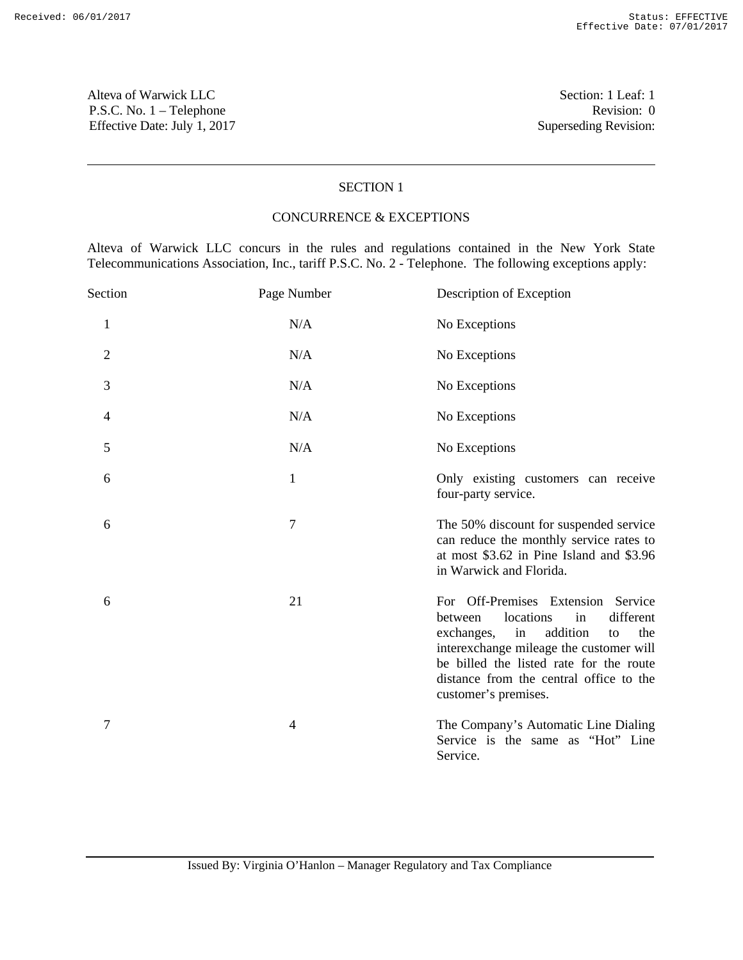Alteva of Warwick LLC Section: 1 Leaf: 1 P.S.C. No. 1 – Telephone Revision: 0 Effective Date: July 1, 2017 Superseding Revision:

## SECTION 1

## CONCURRENCE & EXCEPTIONS

Alteva of Warwick LLC concurs in the rules and regulations contained in the New York State Telecommunications Association, Inc., tariff P.S.C. No. 2 - Telephone. The following exceptions apply:

| Section        | Page Number    | Description of Exception                                                                                                                                                                                                                                                            |
|----------------|----------------|-------------------------------------------------------------------------------------------------------------------------------------------------------------------------------------------------------------------------------------------------------------------------------------|
| $\mathbf{1}$   | N/A            | No Exceptions                                                                                                                                                                                                                                                                       |
| $\overline{2}$ | N/A            | No Exceptions                                                                                                                                                                                                                                                                       |
| 3              | N/A            | No Exceptions                                                                                                                                                                                                                                                                       |
| 4              | N/A            | No Exceptions                                                                                                                                                                                                                                                                       |
| 5              | N/A            | No Exceptions                                                                                                                                                                                                                                                                       |
| 6              | $\mathbf{1}$   | Only existing customers can receive<br>four-party service.                                                                                                                                                                                                                          |
| 6              | $\overline{7}$ | The 50% discount for suspended service<br>can reduce the monthly service rates to<br>at most \$3.62 in Pine Island and \$3.96<br>in Warwick and Florida.                                                                                                                            |
| 6              | 21             | For Off-Premises Extension Service<br>different<br>locations<br>in<br>between<br>addition<br>exchanges,<br>in<br>the<br>to<br>interexchange mileage the customer will<br>be billed the listed rate for the route<br>distance from the central office to the<br>customer's premises. |
| 7              | $\overline{4}$ | The Company's Automatic Line Dialing<br>Service is the same as "Hot" Line<br>Service.                                                                                                                                                                                               |